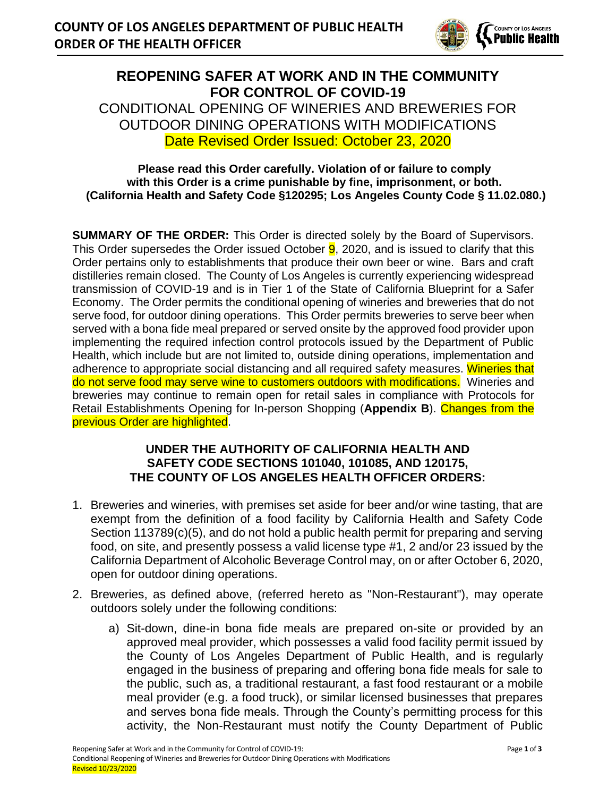

## **REOPENING SAFER AT WORK AND IN THE COMMUNITY FOR CONTROL OF COVID-19** CONDITIONAL OPENING OF WINERIES AND BREWERIES FOR OUTDOOR DINING OPERATIONS WITH MODIFICATIONS Date Revised Order Issued: October 23, 2020

## **Please read this Order carefully. Violation of or failure to comply with this Order is a crime punishable by fine, imprisonment, or both. (California Health and Safety Code §120295; Los Angeles County Code § 11.02.080.)**

**SUMMARY OF THE ORDER:** This Order is directed solely by the Board of Supervisors. This Order supersedes the Order issued October  $9$ , 2020, and is issued to clarify that this Order pertains only to establishments that produce their own beer or wine. Bars and craft distilleries remain closed. The County of Los Angeles is currently experiencing widespread transmission of COVID-19 and is in Tier 1 of the State of California Blueprint for a Safer Economy. The Order permits the conditional opening of wineries and breweries that do not serve food, for outdoor dining operations. This Order permits breweries to serve beer when served with a bona fide meal prepared or served onsite by the approved food provider upon implementing the required infection control protocols issued by the Department of Public Health, which include but are not limited to, outside dining operations, implementation and adherence to appropriate social distancing and all required safety measures. Wineries that do not serve food may serve wine to customers outdoors with modifications. Wineries and breweries may continue to remain open for retail sales in compliance with Protocols for Retail Establishments Opening for In-person Shopping (**Appendix B**). Changes from the previous Order are highlighted.

## **UNDER THE AUTHORITY OF CALIFORNIA HEALTH AND SAFETY CODE SECTIONS 101040, 101085, AND 120175, THE COUNTY OF LOS ANGELES HEALTH OFFICER ORDERS:**

- 1. Breweries and wineries, with premises set aside for beer and/or wine tasting, that are exempt from the definition of a food facility by California Health and Safety Code Section 113789(c)(5), and do not hold a public health permit for preparing and serving food, on site, and presently possess a valid license type #1, 2 and/or 23 issued by the California Department of Alcoholic Beverage Control may, on or after October 6, 2020, open for outdoor dining operations.
- 2. Breweries, as defined above, (referred hereto as "Non-Restaurant"), may operate outdoors solely under the following conditions:
	- a) Sit-down, dine-in bona fide meals are prepared on-site or provided by an approved meal provider, which possesses a valid food facility permit issued by the County of Los Angeles Department of Public Health, and is regularly engaged in the business of preparing and offering bona fide meals for sale to the public, such as, a traditional restaurant, a fast food restaurant or a mobile meal provider (e.g. a food truck), or similar licensed businesses that prepares and serves bona fide meals. Through the County's permitting process for this activity, the Non-Restaurant must notify the County Department of Public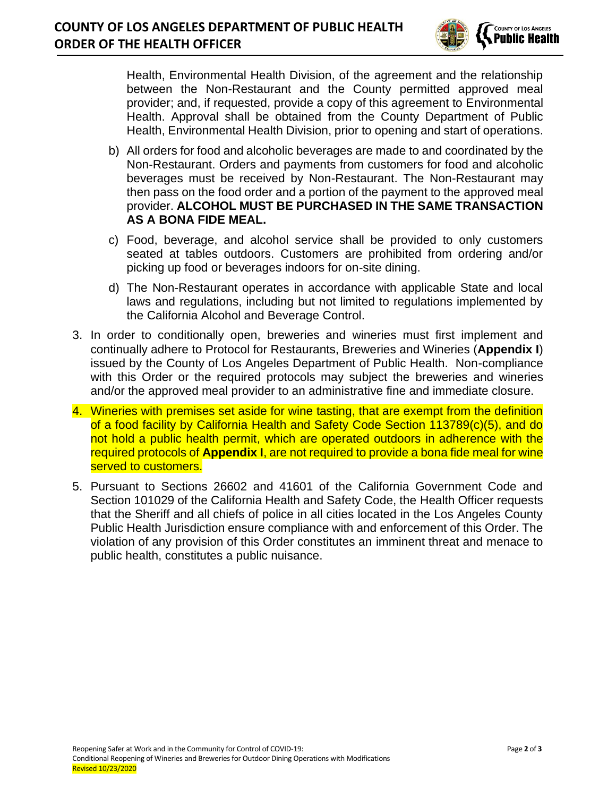

Health, Environmental Health Division, of the agreement and the relationship between the Non-Restaurant and the County permitted approved meal provider; and, if requested, provide a copy of this agreement to Environmental Health. Approval shall be obtained from the County Department of Public Health, Environmental Health Division, prior to opening and start of operations.

- b) All orders for food and alcoholic beverages are made to and coordinated by the Non-Restaurant. Orders and payments from customers for food and alcoholic beverages must be received by Non-Restaurant. The Non-Restaurant may then pass on the food order and a portion of the payment to the approved meal provider. **ALCOHOL MUST BE PURCHASED IN THE SAME TRANSACTION AS A BONA FIDE MEAL.**
- c) Food, beverage, and alcohol service shall be provided to only customers seated at tables outdoors. Customers are prohibited from ordering and/or picking up food or beverages indoors for on-site dining.
- d) The Non-Restaurant operates in accordance with applicable State and local laws and regulations, including but not limited to regulations implemented by the California Alcohol and Beverage Control.
- 3. In order to conditionally open, breweries and wineries must first implement and continually adhere to Protocol for Restaurants, Breweries and Wineries (**Appendix I**) issued by the County of Los Angeles Department of Public Health. Non-compliance with this Order or the required protocols may subject the breweries and wineries and/or the approved meal provider to an administrative fine and immediate closure.
- 4. Wineries with premises set aside for wine tasting, that are exempt from the definition of a food facility by California Health and Safety Code Section 113789(c)(5), and do not hold a public health permit, which are operated outdoors in adherence with the required protocols of **Appendix I**, are not required to provide a bona fide meal for wine served to customers.
- 5. Pursuant to Sections 26602 and 41601 of the California Government Code and Section 101029 of the California Health and Safety Code, the Health Officer requests that the Sheriff and all chiefs of police in all cities located in the Los Angeles County Public Health Jurisdiction ensure compliance with and enforcement of this Order. The violation of any provision of this Order constitutes an imminent threat and menace to public health, constitutes a public nuisance.